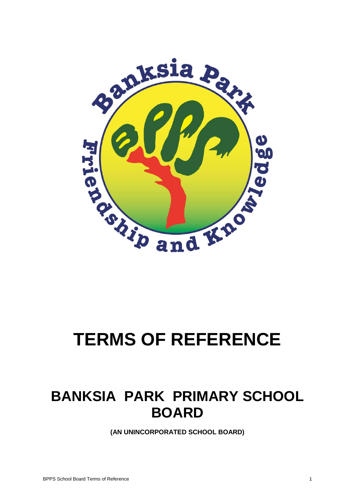

# **TERMS OF REFERENCE**

# **BANKSIA PARK PRIMARY SCHOOL BOARD**

**(AN UNINCORPORATED SCHOOL BOARD)**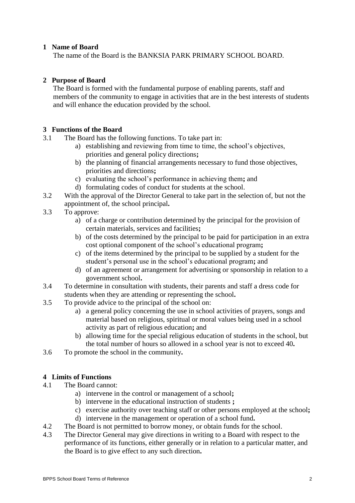## **1 Name of Board**

The name of the Board is the BANKSIA PARK PRIMARY SCHOOL BOARD.

### **2 Purpose of Board**

The Board is formed with the fundamental purpose of enabling parents, staff and members of the community to engage in activities that are in the best interests of students and will enhance the education provided by the school.

### **3 Functions of the Board**

- 3.1 The Board has the following functions. To take part in:
	- a) establishing and reviewing from time to time, the school's objectives, priorities and general policy directions**;**
	- b) the planning of financial arrangements necessary to fund those objectives, priorities and directions**;**
	- c) evaluating the school's performance in achieving them**;** and
	- d) formulating codes of conduct for students at the school.
- 3.2 With the approval of the Director General to take part in the selection of, but not the appointment of, the school principal**.**
- 3.3 To approve:
	- a) of a charge or contribution determined by the principal for the provision of certain materials, services and facilities**;**
	- b) of the costs determined by the principal to be paid for participation in an extra cost optional component of the school's educational program**;**
	- c) of the items determined by the principal to be supplied by a student for the student's personal use in the school's educational program**;** and
	- d) of an agreement or arrangement for advertising or sponsorship in relation to a government school**.**
- 3.4 To determine in consultation with students, their parents and staff a dress code for students when they are attending or representing the school**.**
- 3.5 To provide advice to the principal of the school on:
	- a) a general policy concerning the use in school activities of prayers, songs and material based on religious, spiritual or moral values being used in a school activity as part of religious education**;** and
	- b) allowing time for the special religious education of students in the school, but the total number of hours so allowed in a school year is not to exceed 40**.**
- 3.6 To promote the school in the community**.**

# **4 Limits of Functions**

- 4.1 The Board cannot:
	- a) intervene in the control or management of a school**;**
	- b) intervene in the educational instruction of students **;**
	- c) exercise authority over teaching staff or other persons employed at the school**;**
	- d) intervene in the management or operation of a school fund**.**
- 4.2 The Board is not permitted to borrow money, or obtain funds for the school.
- 4.3 The Director General may give directions in writing to a Board with respect to the performance of its functions, either generally or in relation to a particular matter, and the Board is to give effect to any such direction**.**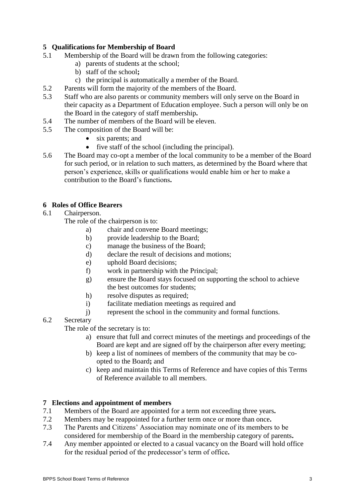# **5 Qualifications for Membership of Board**

- 5.1 Membership of the Board will be drawn from the following categories:
	- a) parents of students at the school;
	- b) staff of the school**;**
	- c) the principal is automatically a member of the Board.
- 5.2 Parents will form the majority of the members of the Board.
- 5.3 Staff who are also parents or community members will only serve on the Board in their capacity as a Department of Education employee. Such a person will only be on the Board in the category of staff membership**.**
- 5.4 The number of members of the Board will be eleven.
- 5.5 The composition of the Board will be:
	- six parents; and
	- $\bullet$  five staff of the school (including the principal).
- 5.6 The Board may co-opt a member of the local community to be a member of the Board for such period, or in relation to such matters, as determined by the Board where that person's experience, skills or qualifications would enable him or her to make a contribution to the Board's functions**.**

### **6 Roles of Office Bearers**

6.1 Chairperson.

The role of the chairperson is to:

- a) chair and convene Board meetings;
- b) provide leadership to the Board;
- c) manage the business of the Board;
- d) declare the result of decisions and motions;
- e) uphold Board decisions;
- f) work in partnership with the Principal;
- g) ensure the Board stays focused on supporting the school to achieve the best outcomes for students;
- h) resolve disputes as required;
- i) facilitate mediation meetings as required and
- j) represent the school in the community and formal functions.
- 6.2 Secretary

The role of the secretary is to:

- a) ensure that full and correct minutes of the meetings and proceedings of the Board are kept and are signed off by the chairperson after every meeting;
- b) keep a list of nominees of members of the community that may be coopted to the Board**;** and
- c) keep and maintain this Terms of Reference and have copies of this Terms of Reference available to all members.

#### **7 Elections and appointment of members**

- 7.1 Members of the Board are appointed for a term not exceeding three years**.**
- 7.2 Members may be reappointed for a further term once or more than once**.**
- 7.3 The Parents and Citizens' Association may nominate one of its members to be considered for membership of the Board in the membership category of parents**.**
- 7.4 Any member appointed or elected to a casual vacancy on the Board will hold office for the residual period of the predecessor's term of office**.**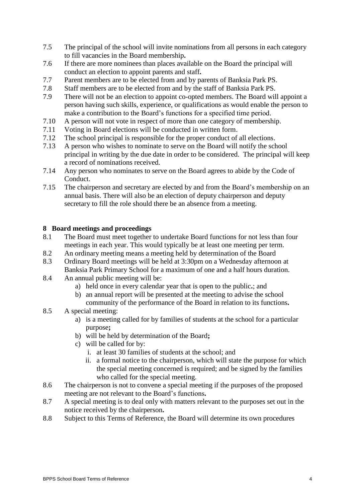- 7.5 The principal of the school will invite nominations from all persons in each category to fill vacancies in the Board membership**.**
- 7.6 If there are more nominees than places available on the Board the principal will conduct an election to appoint parents and staff**.**
- 7.7 Parent members are to be elected from and by parents of Banksia Park PS.
- 7.8 Staff members are to be elected from and by the staff of Banksia Park PS.
- 7.9 There will not be an election to appoint co-opted members. The Board will appoint a person having such skills, experience, or qualifications as would enable the person to make a contribution to the Board's functions for a specified time period.
- 7.10 A person will not vote in respect of more than one category of membership.
- 7.11 Voting in Board elections will be conducted in written form.
- 7.12 The school principal is responsible for the proper conduct of all elections.
- 7.13 A person who wishes to nominate to serve on the Board will notify the school principal in writing by the due date in order to be considered. The principal will keep a record of nominations received.
- 7.14 Any person who nominates to serve on the Board agrees to abide by the Code of Conduct.
- 7.15 The chairperson and secretary are elected by and from the Board's membership on an annual basis. There will also be an election of deputy chairperson and deputy secretary to fill the role should there be an absence from a meeting.

#### **8 Board meetings and proceedings**

- 8.1 The Board must meet together to undertake Board functions for not less than four meetings in each year. This would typically be at least one meeting per term.
- 8.2 An ordinary meeting means a meeting held by determination of the Board
- 8.3 Ordinary Board meetings will be held at 3:30pm on a Wednesday afternoon at Banksia Park Primary School for a maximum of one and a half hours duration.
- 8.4 An annual public meeting will be:
	- a) held once in every calendar year that is open to the public**.**; and
	- b) an annual report will be presented at the meeting to advise the school community of the performance of the Board in relation to its functions**.**
- 8.5 A special meeting:
	- a) is a meeting called for by families of students at the school for a particular purpose**;**
	- b) will be held by determination of the Board**;**
	- c) will be called for by:
		- i. at least 30 families of students at the school; and
		- ii. a formal notice to the chairperson, which will state the purpose for which the special meeting concerned is required; and be signed by the families who called for the special meeting.
- 8.6 The chairperson is not to convene a special meeting if the purposes of the proposed meeting are not relevant to the Board's functions**.**
- 8.7 A special meeting is to deal only with matters relevant to the purposes set out in the notice received by the chairperson**.**
- 8.8 Subject to this Terms of Reference, the Board will determine its own procedures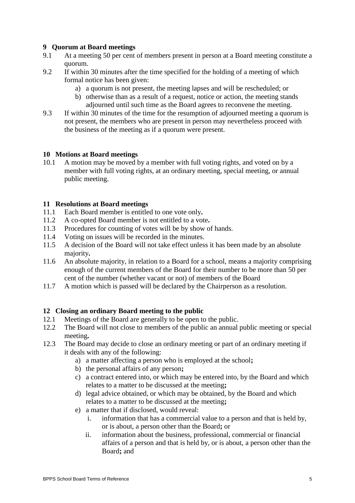## **9 Quorum at Board meetings**

- 9.1 At a meeting 50 per cent of members present in person at a Board meeting constitute a quorum.
- 9.2 If within 30 minutes after the time specified for the holding of a meeting of which formal notice has been given:
	- a) a quorum is not present, the meeting lapses and will be rescheduled; or
	- b) otherwise than as a result of a request, notice or action, the meeting stands adjourned until such time as the Board agrees to reconvene the meeting.
- 9.3 If within 30 minutes of the time for the resumption of adjourned meeting a quorum is not present, the members who are present in person may nevertheless proceed with the business of the meeting as if a quorum were present.

### **10 Motions at Board meetings**

10.1 A motion may be moved by a member with full voting rights, and voted on by a member with full voting rights, at an ordinary meeting, special meeting, or annual public meeting.

#### **11 Resolutions at Board meetings**

- 11.1 Each Board member is entitled to one vote only**.**
- 11.2 A co-opted Board member is not entitled to a vote**.**
- 11.3 Procedures for counting of votes will be by show of hands.
- 11.4 Voting on issues will be recorded in the minutes.
- 11.5 A decision of the Board will not take effect unless it has been made by an absolute majority**.**
- 11.6 An absolute majority, in relation to a Board for a school, means a majority comprising enough of the current members of the Board for their number to be more than 50 per cent of the number (whether vacant or not) of members of the Board
- 11.7 A motion which is passed will be declared by the Chairperson as a resolution.

# **12 Closing an ordinary Board meeting to the public**

- 12.1 Meetings of the Board are generally to be open to the public.
- 12.2 The Board will not close to members of the public an annual public meeting or special meeting**.**
- 12.3 The Board may decide to close an ordinary meeting or part of an ordinary meeting if it deals with any of the following:
	- a) a matter affecting a person who is employed at the school**;**
	- b) the personal affairs of any person**;**
	- c) a contract entered into, or which may be entered into, by the Board and which relates to a matter to be discussed at the meeting**;**
	- d) legal advice obtained, or which may be obtained, by the Board and which relates to a matter to be discussed at the meeting**;**
	- e) a matter that if disclosed, would reveal:
		- i. information that has a commercial value to a person and that is held by, or is about, a person other than the Board**;** or
		- ii. information about the business, professional, commercial or financial affairs of a person and that is held by, or is about, a person other than the Board**;** and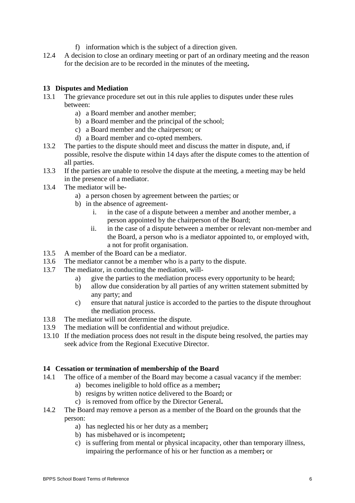- f) information which is the subject of a direction given.
- 12.4 A decision to close an ordinary meeting or part of an ordinary meeting and the reason for the decision are to be recorded in the minutes of the meeting**.**

# **13 Disputes and Mediation**

- 13.1 The grievance procedure set out in this rule applies to disputes under these rules between:
	- a) a Board member and another member;
	- b) a Board member and the principal of the school;
	- c) a Board member and the chairperson; or
	- d) a Board member and co-opted members.
- 13.2 The parties to the dispute should meet and discuss the matter in dispute, and, if possible, resolve the dispute within 14 days after the dispute comes to the attention of all parties.
- 13.3 If the parties are unable to resolve the dispute at the meeting, a meeting may be held in the presence of a mediator.
- 13.4 The mediator will be
	- a) a person chosen by agreement between the parties; or
	- b) in the absence of agreement
		- i. in the case of a dispute between a member and another member, a person appointed by the chairperson of the Board;
		- ii. in the case of a dispute between a member or relevant non-member and the Board, a person who is a mediator appointed to, or employed with, a not for profit organisation.
- 13.5 A member of the Board can be a mediator.
- 13.6 The mediator cannot be a member who is a party to the dispute.
- 13.7 The mediator, in conducting the mediation, will
	- a) give the parties to the mediation process every opportunity to be heard;
	- b) allow due consideration by all parties of any written statement submitted by any party; and
	- c) ensure that natural justice is accorded to the parties to the dispute throughout the mediation process.
- 13.8 The mediator will not determine the dispute.
- 13.9 The mediation will be confidential and without prejudice.
- 13.10 If the mediation process does not result in the dispute being resolved, the parties may seek advice from the Regional Executive Director.

#### **14 Cessation or termination of membership of the Board**

- 14.1 The office of a member of the Board may become a casual vacancy if the member:
	- a) becomes ineligible to hold office as a member**;**
	- b) resigns by written notice delivered to the Board**;** or
	- c) is removed from office by the Director General**.**
- 14.2 The Board may remove a person as a member of the Board on the grounds that the person:
	- a) has neglected his or her duty as a member**;**
	- b) has misbehaved or is incompetent**;**
	- c) is suffering from mental or physical incapacity, other than temporary illness, impairing the performance of his or her function as a member**;** or